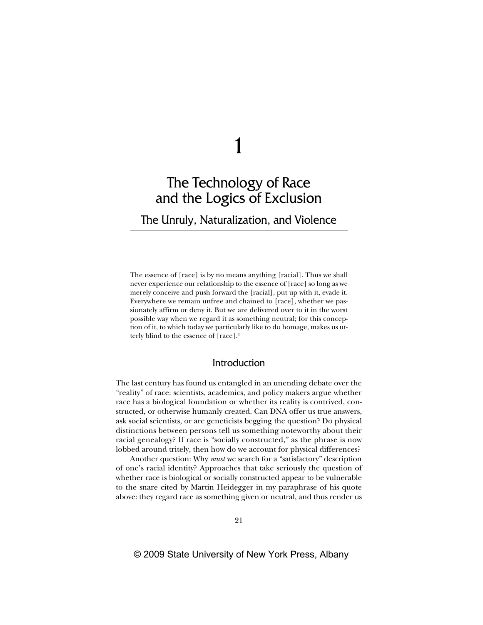# 1

## The Technology of Race and the Logics of Exclusion

The Unruly, Naturalization, and Violence

The essence of [race] is by no means anything [racial]. Thus we shall never experience our relationship to the essence of [race] so long as we merely conceive and push forward the [racial], put up with it, evade it. Everywhere we remain unfree and chained to [race], whether we passionately affirm or deny it. But we are delivered over to it in the worst possible way when we regard it as something neutral; for this conception of it, to which today we particularly like to do homage, makes us utterly blind to the essence of [race].1

#### Introduction

The last century has found us entangled in an unending debate over the "reality" of race: scientists, academics, and policy makers argue whether race has a biological foundation or whether its reality is contrived, constructed, or otherwise humanly created. Can DNA offer us true answers, ask social scientists, or are geneticists begging the question? Do physical distinctions between persons tell us something noteworthy about their racial genealogy? If race is "socially constructed," as the phrase is now lobbed around tritely, then how do we account for physical differences?

Another question: Why *must* we search for a "satisfactory" description of one's racial identity? Approaches that take seriously the question of whether race is biological or socially constructed appear to be vulnerable to the snare cited by Martin Heidegger in my paraphrase of his quote above: they regard race as something given or neutral, and thus render us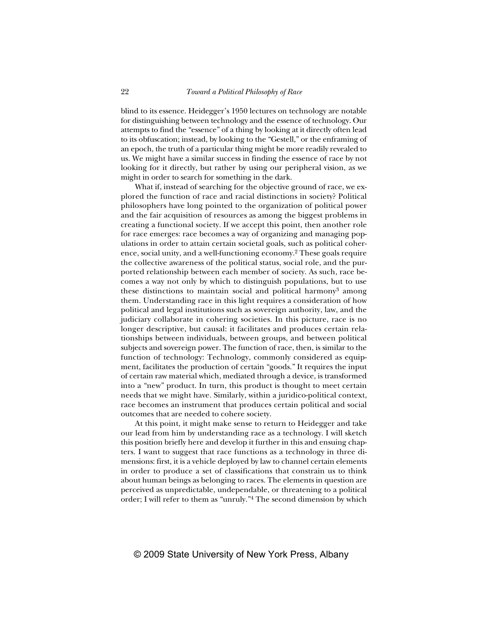blind to its essence. Heidegger's 1950 lectures on technology are notable for distinguishing between technology and the essence of technology. Our attempts to find the "essence" of a thing by looking at it directly often lead to its obfuscation; instead, by looking to the "Gestell," or the enframing of an epoch, the truth of a particular thing might be more readily revealed to us. We might have a similar success in finding the essence of race by not looking for it directly, but rather by using our peripheral vision, as we might in order to search for something in the dark.

What if, instead of searching for the objective ground of race, we explored the function of race and racial distinctions in society? Political philosophers have long pointed to the organization of political power and the fair acquisition of resources as among the biggest problems in creating a functional society. If we accept this point, then another role for race emerges: race becomes a way of organizing and managing populations in order to attain certain societal goals, such as political coherence, social unity, and a well-functioning economy.2 These goals require the collective awareness of the political status, social role, and the purported relationship between each member of society. As such, race becomes a way not only by which to distinguish populations, but to use these distinctions to maintain social and political harmony3 among them. Understanding race in this light requires a consideration of how political and legal institutions such as sovereign authority, law, and the judiciary collaborate in cohering societies. In this picture, race is no longer descriptive, but causal: it facilitates and produces certain relationships between individuals, between groups, and between political subjects and sovereign power. The function of race, then, is similar to the function of technology: Technology, commonly considered as equipment, facilitates the production of certain "goods." It requires the input of certain raw material which, mediated through a device, is transformed into a "new" product. In turn, this product is thought to meet certain needs that we might have. Similarly, within a juridico-political context, race becomes an instrument that produces certain political and social outcomes that are needed to cohere society.

At this point, it might make sense to return to Heidegger and take our lead from him by understanding race as a technology. I will sketch this position briefly here and develop it further in this and ensuing chapters. I want to suggest that race functions as a technology in three dimensions: first, it is a vehicle deployed by law to channel certain elements in order to produce a set of classifications that constrain us to think about human beings as belonging to races. The elements in question are perceived as unpredictable, undependable, or threatening to a political order; I will refer to them as "unruly."4 The second dimension by which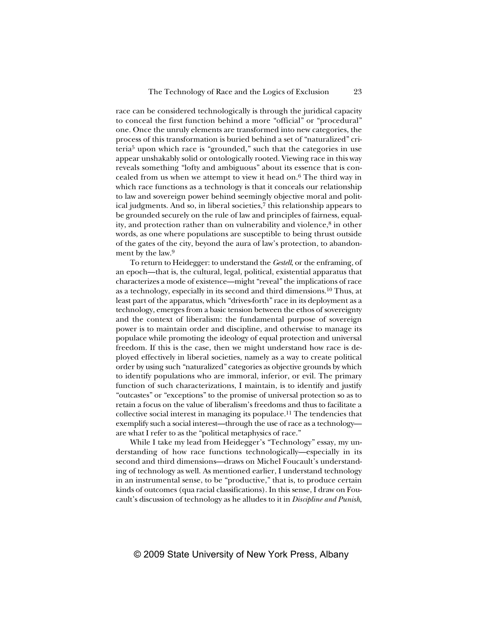race can be considered technologically is through the juridical capacity to conceal the first function behind a more "official" or "procedural" one. Once the unruly elements are transformed into new categories, the process of this transformation is buried behind a set of "naturalized" criteria5 upon which race is "grounded," such that the categories in use appear unshakably solid or ontologically rooted. Viewing race in this way reveals something "lofty and ambiguous" about its essence that is concealed from us when we attempt to view it head on.6 The third way in which race functions as a technology is that it conceals our relationship to law and sovereign power behind seemingly objective moral and political judgments. And so, in liberal societies,<sup>7</sup> this relationship appears to be grounded securely on the rule of law and principles of fairness, equality, and protection rather than on vulnerability and violence, $8$  in other words, as one where populations are susceptible to being thrust outside of the gates of the city, beyond the aura of law's protection, to abandonment by the law.<sup>9</sup>

To return to Heidegger: to understand the *Gestell*, or the enframing, of an epoch—that is, the cultural, legal, political, existential apparatus that characterizes a mode of existence—might "reveal" the implications of race as a technology, especially in its second and third dimensions.10 Thus, at least part of the apparatus, which "drives-forth" race in its deployment as a technology, emerges from a basic tension between the ethos of sovereignty and the context of liberalism: the fundamental purpose of sovereign power is to maintain order and discipline, and otherwise to manage its populace while promoting the ideology of equal protection and universal freedom. If this is the case, then we might understand how race is deployed effectively in liberal societies, namely as a way to create political order by using such "naturalized" categories as objective grounds by which to identify populations who are immoral, inferior, or evil. The primary function of such characterizations, I maintain, is to identify and justify "outcastes" or "exceptions" to the promise of universal protection so as to retain a focus on the value of liberalism's freedoms and thus to facilitate a collective social interest in managing its populace.11 The tendencies that exemplify such a social interest—through the use of race as a technology are what I refer to as the "political metaphysics of race."

While I take my lead from Heidegger's "Technology" essay, my understanding of how race functions technologically—especially in its second and third dimensions—draws on Michel Foucault's understanding of technology as well. As mentioned earlier, I understand technology in an instrumental sense, to be "productive," that is, to produce certain kinds of outcomes (qua racial classifications). In this sense, I draw on Foucault's discussion of technology as he alludes to it in *Discipline and Punish*,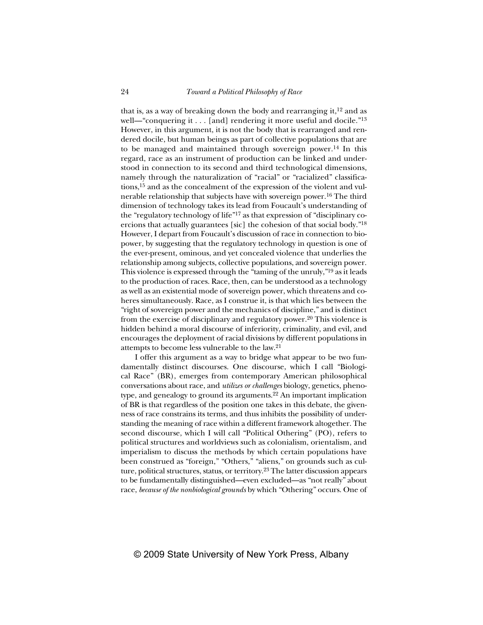that is, as a way of breaking down the body and rearranging it,12 and as well—"conquering it . . . [and] rendering it more useful and docile."<sup>13</sup> However, in this argument, it is not the body that is rearranged and rendered docile, but human beings as part of collective populations that are to be managed and maintained through sovereign power.14 In this regard, race as an instrument of production can be linked and understood in connection to its second and third technological dimensions, namely through the naturalization of "racial" or "racialized" classifications,15 and as the concealment of the expression of the violent and vulnerable relationship that subjects have with sovereign power.16 The third dimension of technology takes its lead from Foucault's understanding of the "regulatory technology of life"17 as that expression of "disciplinary coercions that actually guarantees [sic] the cohesion of that social body."18 However, I depart from Foucault's discussion of race in connection to biopower, by suggesting that the regulatory technology in question is one of the ever-present, ominous, and yet concealed violence that underlies the relationship among subjects, collective populations, and sovereign power. This violence is expressed through the "taming of the unruly,"19 as it leads to the production of races. Race, then, can be understood as a technology as well as an existential mode of sovereign power, which threatens and coheres simultaneously. Race, as I construe it, is that which lies between the "right of sovereign power and the mechanics of discipline," and is distinct from the exercise of disciplinary and regulatory power.20 This violence is hidden behind a moral discourse of inferiority, criminality, and evil, and encourages the deployment of racial divisions by different populations in attempts to become less vulnerable to the law.21

I offer this argument as a way to bridge what appear to be two fundamentally distinct discourses. One discourse, which I call "Biological Race" (BR), emerges from contemporary American philosophical conversations about race, and *utilizes or challenges* biology, genetics, phenotype, and genealogy to ground its arguments.22 An important implication of BR is that regardless of the position one takes in this debate, the givenness of race constrains its terms, and thus inhibits the possibility of understanding the meaning of race within a different framework altogether. The second discourse, which I will call "Political Othering" (PO), refers to political structures and worldviews such as colonialism, orientalism, and imperialism to discuss the methods by which certain populations have been construed as "foreign," "Others," "aliens," on grounds such as culture, political structures, status, or territory.23 The latter discussion appears to be fundamentally distinguished—even excluded—as "not really" about race, *because of the nonbiological grounds* by which "Othering" occurs. One of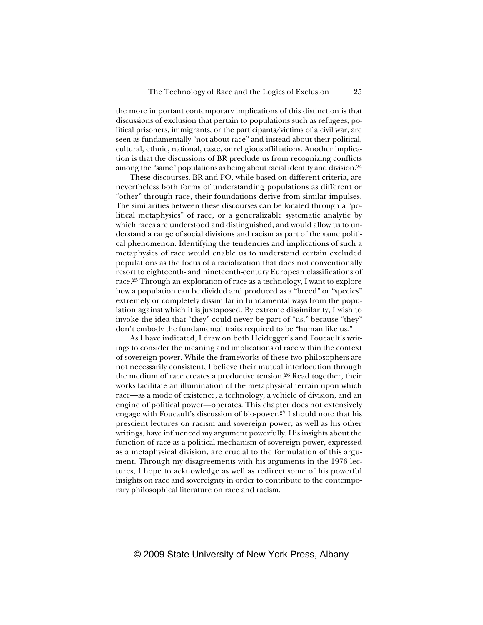the more important contemporary implications of this distinction is that discussions of exclusion that pertain to populations such as refugees, political prisoners, immigrants, or the participants/victims of a civil war, are seen as fundamentally "not about race" and instead about their political, cultural, ethnic, national, caste, or religious affiliations. Another implication is that the discussions of BR preclude us from recognizing conflicts among the "same" populations as being about racial identity and division.24

These discourses, BR and PO, while based on different criteria, are nevertheless both forms of understanding populations as different or "other" through race, their foundations derive from similar impulses. The similarities between these discourses can be located through a "political metaphysics" of race, or a generalizable systematic analytic by which races are understood and distinguished, and would allow us to understand a range of social divisions and racism as part of the same political phenomenon. Identifying the tendencies and implications of such a metaphysics of race would enable us to understand certain excluded populations as the focus of a racialization that does not conventionally resort to eighteenth- and nineteenth-century European classifications of race.25 Through an exploration of race as a technology, I want to explore how a population can be divided and produced as a "breed" or "species" extremely or completely dissimilar in fundamental ways from the population against which it is juxtaposed. By extreme dissimilarity, I wish to invoke the idea that "they" could never be part of "us," because "they" don't embody the fundamental traits required to be "human like us."

As I have indicated, I draw on both Heidegger's and Foucault's writings to consider the meaning and implications of race within the context of sovereign power. While the frameworks of these two philosophers are not necessarily consistent, I believe their mutual interlocution through the medium of race creates a productive tension.26 Read together, their works facilitate an illumination of the metaphysical terrain upon which race—as a mode of existence, a technology, a vehicle of division, and an engine of political power—operates. This chapter does not extensively engage with Foucault's discussion of bio-power.27 I should note that his prescient lectures on racism and sovereign power, as well as his other writings, have influenced my argument powerfully. His insights about the function of race as a political mechanism of sovereign power, expressed as a metaphysical division, are crucial to the formulation of this argument. Through my disagreements with his arguments in the 1976 lectures, I hope to acknowledge as well as redirect some of his powerful insights on race and sovereignty in order to contribute to the contemporary philosophical literature on race and racism.

© 2009 State University of New York Press, Albany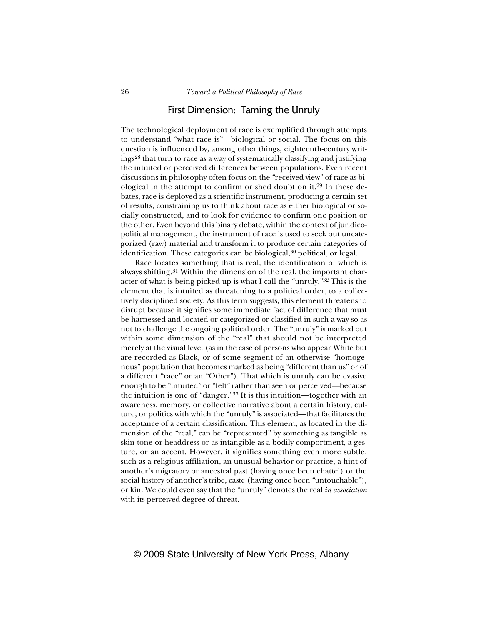#### First Dimension: Taming the Unruly

The technological deployment of race is exemplified through attempts to understand "what race is"—biological or social. The focus on this question is influenced by, among other things, eighteenth-century writings28 that turn to race as a way of systematically classifying and justifying the intuited or perceived differences between populations. Even recent discussions in philosophy often focus on the "received view" of race as biological in the attempt to confirm or shed doubt on it.29 In these debates, race is deployed as a scientific instrument, producing a certain set of results, constraining us to think about race as either biological or socially constructed, and to look for evidence to confirm one position or the other. Even beyond this binary debate, within the context of juridicopolitical management, the instrument of race is used to seek out uncategorized (raw) material and transform it to produce certain categories of identification. These categories can be biological, $30$  political, or legal.

Race locates something that is real, the identification of which is always shifting.31 Within the dimension of the real, the important character of what is being picked up is what I call the "unruly."32 This is the element that is intuited as threatening to a political order, to a collectively disciplined society. As this term suggests, this element threatens to disrupt because it signifies some immediate fact of difference that must be harnessed and located or categorized or classified in such a way so as not to challenge the ongoing political order. The "unruly" is marked out within some dimension of the "real" that should not be interpreted merely at the visual level (as in the case of persons who appear White but are recorded as Black, or of some segment of an otherwise "homogenous" population that becomes marked as being "different than us" or of a different "race" or an "Other"). That which is unruly can be evasive enough to be "intuited" or "felt" rather than seen or perceived—because the intuition is one of "danger."33 It is this intuition—together with an awareness, memory, or collective narrative about a certain history, culture, or politics with which the "unruly" is associated—that facilitates the acceptance of a certain classification. This element, as located in the dimension of the "real," can be "represented" by something as tangible as skin tone or headdress or as intangible as a bodily comportment, a gesture, or an accent. However, it signifies something even more subtle, such as a religious affiliation, an unusual behavior or practice, a hint of another's migratory or ancestral past (having once been chattel) or the social history of another's tribe, caste (having once been "untouchable"), or kin. We could even say that the "unruly" denotes the real *in association* with its perceived degree of threat.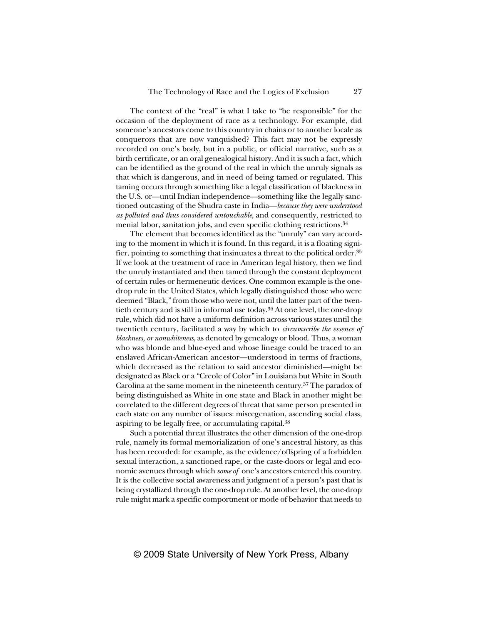The context of the "real" is what I take to "be responsible" for the occasion of the deployment of race as a technology. For example, did someone's ancestors come to this country in chains or to another locale as conquerors that are now vanquished? This fact may not be expressly recorded on one's body, but in a public, or official narrative, such as a birth certificate, or an oral genealogical history. And it is such a fact, which can be identified as the ground of the real in which the unruly signals as that which is dangerous, and in need of being tamed or regulated. This taming occurs through something like a legal classification of blackness in the U.S. or—until Indian independence—something like the legally sanctioned outcasting of the Shudra caste in India—*because they were understood as polluted and thus considered untouchable*, and consequently, restricted to menial labor, sanitation jobs, and even specific clothing restrictions.<sup>34</sup>

The element that becomes identified as the "unruly" can vary according to the moment in which it is found. In this regard, it is a floating signifier, pointing to something that insinuates a threat to the political order.35 If we look at the treatment of race in American legal history, then we find the unruly instantiated and then tamed through the constant deployment of certain rules or hermeneutic devices. One common example is the onedrop rule in the United States, which legally distinguished those who were deemed "Black," from those who were not, until the latter part of the twentieth century and is still in informal use today.36 At one level, the one-drop rule, which did not have a uniform definition across various states until the twentieth century, facilitated a way by which to *circumscribe the essence of blackness, or nonwhiteness*, as denoted by genealogy or blood. Thus, a woman who was blonde and blue-eyed and whose lineage could be traced to an enslaved African-American ancestor—understood in terms of fractions, which decreased as the relation to said ancestor diminished—might be designated as Black or a "Creole of Color" in Louisiana but White in South Carolina at the same moment in the nineteenth century.37 The paradox of being distinguished as White in one state and Black in another might be correlated to the different degrees of threat that same person presented in each state on any number of issues: miscegenation, ascending social class, aspiring to be legally free, or accumulating capital.38

Such a potential threat illustrates the other dimension of the one-drop rule, namely its formal memorialization of one's ancestral history, as this has been recorded: for example, as the evidence/offspring of a forbidden sexual interaction, a sanctioned rape, or the caste-doors or legal and economic avenues through which *some of* one's ancestors entered this country. It is the collective social awareness and judgment of a person's past that is being crystallized through the one-drop rule. At another level, the one-drop rule might mark a specific comportment or mode of behavior that needs to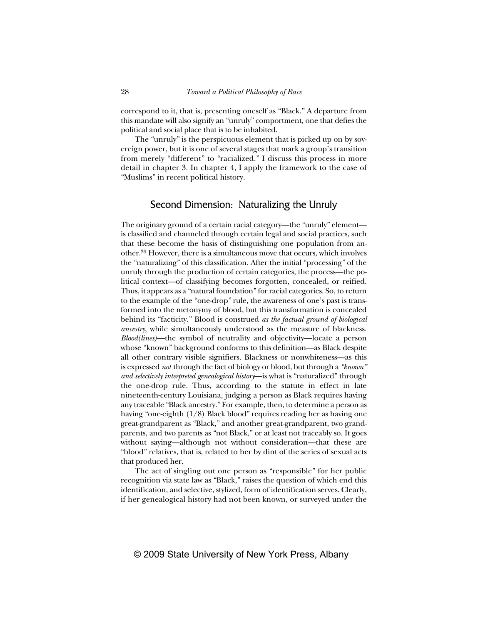correspond to it, that is, presenting oneself as "Black." A departure from this mandate will also signify an "unruly" comportment, one that defies the political and social place that is to be inhabited.

The "unruly" is the perspicuous element that is picked up on by sovereign power, but it is one of several stages that mark a group's transition from merely "different" to "racialized." I discuss this process in more detail in chapter 3. In chapter 4, I apply the framework to the case of "Muslims" in recent political history.

#### Second Dimension: Naturalizing the Unruly

The originary ground of a certain racial category—the "unruly" element is classified and channeled through certain legal and social practices, such that these become the basis of distinguishing one population from another.39 However, there is a simultaneous move that occurs, which involves the "naturalizing" of this classification. After the initial "processing" of the unruly through the production of certain categories, the process—the political context—of classifying becomes forgotten, concealed, or reified. Thus, it appears as a "natural foundation" for racial categories. So, to return to the example of the "one-drop" rule, the awareness of one's past is transformed into the metonymy of blood, but this transformation is concealed behind its "facticity." Blood is construed *as the factual ground of biological ancestry*, while simultaneously understood as the measure of blackness. *Blood(lines)*—the symbol of neutrality and objectivity—locate a person whose "known" background conforms to this definition—as Black despite all other contrary visible signifiers. Blackness or nonwhiteness—as this is expressed *not* through the fact of biology or blood, but through a *"known" and selectively interpreted genealogical history*—is what is "naturalized" through the one-drop rule. Thus, according to the statute in effect in late nineteenth-century Louisiana, judging a person as Black requires having any traceable "Black ancestry." For example, then, to determine a person as having "one-eighth (1/8) Black blood" requires reading her as having one great-grandparent as "Black," and another great-grandparent, two grandparents, and two parents as "not Black," or at least not traceably so. It goes without saying—although not without consideration—that these are "blood" relatives, that is, related to her by dint of the series of sexual acts that produced her.

The act of singling out one person as "responsible" for her public recognition via state law as "Black," raises the question of which end this identification, and selective, stylized, form of identification serves. Clearly, if her genealogical history had not been known, or surveyed under the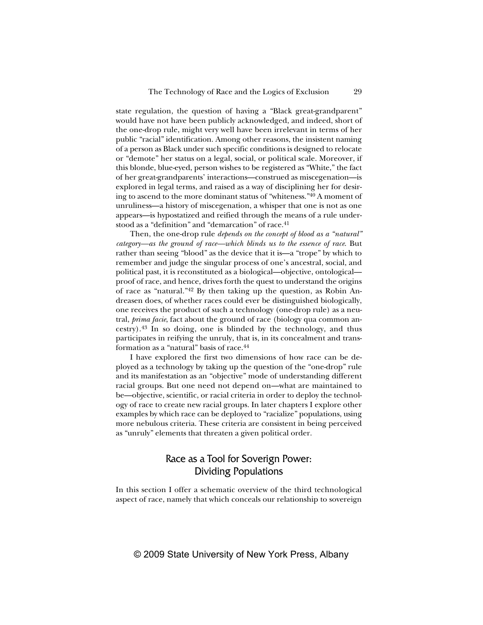state regulation, the question of having a "Black great-grandparent" would have not have been publicly acknowledged, and indeed, short of the one-drop rule, might very well have been irrelevant in terms of her public "racial" identification. Among other reasons, the insistent naming of a person as Black under such specific conditions is designed to relocate or "demote" her status on a legal, social, or political scale. Moreover, if this blonde, blue-eyed, person wishes to be registered as "White," the fact of her great-grandparents' interactions—construed as miscegenation—is explored in legal terms, and raised as a way of disciplining her for desiring to ascend to the more dominant status of "whiteness."40 A moment of unruliness—a history of miscegenation, a whisper that one is not as one appears—is hypostatized and reified through the means of a rule understood as a "definition" and "demarcation" of race.<sup>41</sup>

Then, the one-drop rule *depends on the concept of blood as a "natural" category—as the ground of race—which blinds us to the essence of race*. But rather than seeing "blood" as the device that it is—a "trope" by which to remember and judge the singular process of one's ancestral, social, and political past, it is reconstituted as a biological—objective, ontological proof of race, and hence, drives forth the quest to understand the origins of race as "natural."42 By then taking up the question, as Robin Andreasen does, of whether races could ever be distinguished biologically, one receives the product of such a technology (one-drop rule) as a neutral, *prima facie*, fact about the ground of race (biology qua common ancestry).43 In so doing, one is blinded by the technology, and thus participates in reifying the unruly, that is, in its concealment and transformation as a "natural" basis of race.44

I have explored the first two dimensions of how race can be deployed as a technology by taking up the question of the "one-drop" rule and its manifestation as an "objective" mode of understanding different racial groups. But one need not depend on—what are maintained to be—objective, scientific, or racial criteria in order to deploy the technology of race to create new racial groups. In later chapters I explore other examples by which race can be deployed to "racialize" populations, using more nebulous criteria. These criteria are consistent in being perceived as "unruly" elements that threaten a given political order.

### Race as a Tool for Soverign Power: Dividing Populations

In this section I offer a schematic overview of the third technological aspect of race, namely that which conceals our relationship to sovereign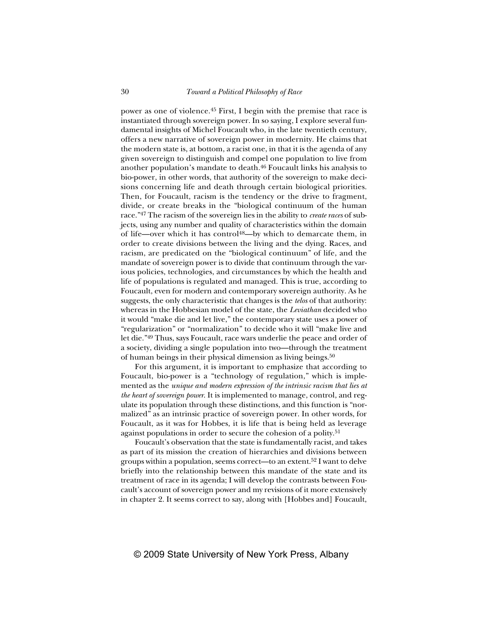power as one of violence.45 First, I begin with the premise that race is instantiated through sovereign power. In so saying, I explore several fundamental insights of Michel Foucault who, in the late twentieth century, offers a new narrative of sovereign power in modernity. He claims that the modern state is, at bottom, a racist one, in that it is the agenda of any given sovereign to distinguish and compel one population to live from another population's mandate to death.46 Foucault links his analysis to bio-power, in other words, that authority of the sovereign to make decisions concerning life and death through certain biological priorities. Then, for Foucault, racism is the tendency or the drive to fragment, divide, or create breaks in the "biological continuum of the human race."47 The racism of the sovereign lies in the ability to *create races* of subjects, using any number and quality of characteristics within the domain of life—over which it has control<sup>48</sup>—by which to demarcate them, in order to create divisions between the living and the dying. Races, and racism, are predicated on the "biological continuum" of life, and the mandate of sovereign power is to divide that continuum through the various policies, technologies, and circumstances by which the health and life of populations is regulated and managed. This is true, according to Foucault, even for modern and contemporary sovereign authority. As he suggests, the only characteristic that changes is the *telos* of that authority: whereas in the Hobbesian model of the state, the *Leviathan* decided who it would "make die and let live," the contemporary state uses a power of "regularization" or "normalization" to decide who it will "make live and let die."49 Thus, says Foucault, race wars underlie the peace and order of a society, dividing a single population into two—through the treatment of human beings in their physical dimension as living beings.50

For this argument, it is important to emphasize that according to Foucault, bio-power is a "technology of regulation," which is implemented as the *unique and modern expression of the intrinsic racism that lies at the heart of sovereign power*. It is implemented to manage, control, and regulate its population through these distinctions, and this function is "normalized" as an intrinsic practice of sovereign power. In other words, for Foucault, as it was for Hobbes, it is life that is being held as leverage against populations in order to secure the cohesion of a polity.51

Foucault's observation that the state is fundamentally racist, and takes as part of its mission the creation of hierarchies and divisions between groups within a population, seems correct—to an extent.52 I want to delve briefly into the relationship between this mandate of the state and its treatment of race in its agenda; I will develop the contrasts between Foucault's account of sovereign power and my revisions of it more extensively in chapter 2. It seems correct to say, along with [Hobbes and] Foucault,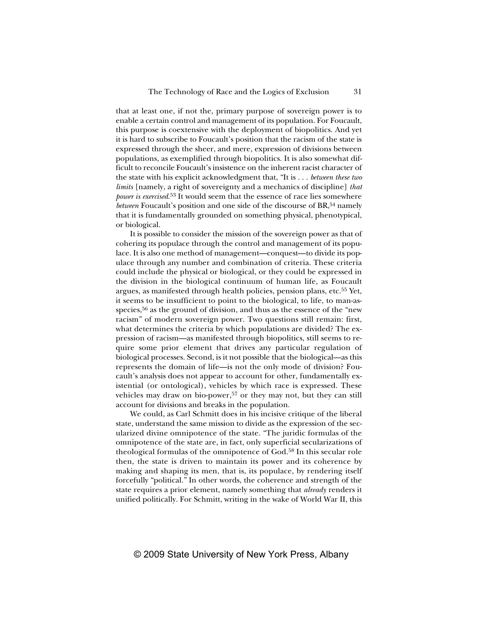that at least one, if not the, primary purpose of sovereign power is to enable a certain control and management of its population. For Foucault, this purpose is coextensive with the deployment of biopolitics. And yet it is hard to subscribe to Foucault's position that the racism of the state is expressed through the sheer, and mere, expression of divisions between populations, as exemplified through biopolitics. It is also somewhat difficult to reconcile Foucault's insistence on the inherent racist character of the state with his explicit acknowledgment that, "It is . . . *between these two limits* [namely, a right of sovereignty and a mechanics of discipline] *that power is exercised*.53 It would seem that the essence of race lies somewhere *between* Foucault's position and one side of the discourse of BR,<sup>54</sup> namely that it is fundamentally grounded on something physical, phenotypical, or biological.

It is possible to consider the mission of the sovereign power as that of cohering its populace through the control and management of its populace. It is also one method of management—conquest—to divide its populace through any number and combination of criteria. These criteria could include the physical or biological, or they could be expressed in the division in the biological continuum of human life, as Foucault argues, as manifested through health policies, pension plans, etc.55 Yet, it seems to be insufficient to point to the biological, to life, to man-asspecies,<sup>56</sup> as the ground of division, and thus as the essence of the "new racism" of modern sovereign power. Two questions still remain: first, what determines the criteria by which populations are divided? The expression of racism—as manifested through biopolitics, still seems to require some prior element that drives any particular regulation of biological processes. Second, is it not possible that the biological—as this represents the domain of life—is not the only mode of division? Foucault's analysis does not appear to account for other, fundamentally existential (or ontological), vehicles by which race is expressed. These vehicles may draw on bio-power,57 or they may not, but they can still account for divisions and breaks in the population.

We could, as Carl Schmitt does in his incisive critique of the liberal state, understand the same mission to divide as the expression of the secularized divine omnipotence of the state. "The juridic formulas of the omnipotence of the state are, in fact, only superficial secularizations of theological formulas of the omnipotence of God.58 In this secular role then, the state is driven to maintain its power and its coherence by making and shaping its men, that is, its populace, by rendering itself forcefully "political." In other words, the coherence and strength of the state requires a prior element, namely something that *already* renders it unified politically. For Schmitt, writing in the wake of World War II, this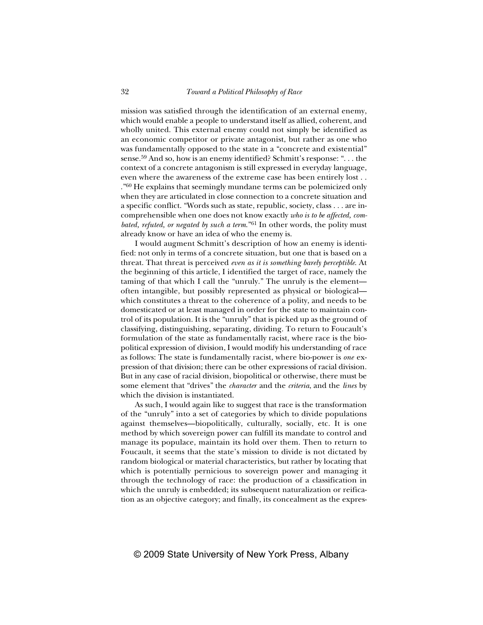mission was satisfied through the identification of an external enemy, which would enable a people to understand itself as allied, coherent, and wholly united. This external enemy could not simply be identified as an economic competitor or private antagonist, but rather as one who was fundamentally opposed to the state in a "concrete and existential" sense.59 And so, how is an enemy identified? Schmitt's response: ". . . the context of a concrete antagonism is still expressed in everyday language, even where the awareness of the extreme case has been entirely lost . . ."60 He explains that seemingly mundane terms can be polemicized only when they are articulated in close connection to a concrete situation and a specific conflict. "Words such as state, republic, society, class . . . are incomprehensible when one does not know exactly *who is to be affected, combated, refuted, or negated by such a term*."61 In other words, the polity must already know or have an idea of who the enemy is.

I would augment Schmitt's description of how an enemy is identified: not only in terms of a concrete situation, but one that is based on a threat. That threat is perceived *even as it is something barely perceptible*. At the beginning of this article, I identified the target of race, namely the taming of that which I call the "unruly." The unruly is the element often intangible, but possibly represented as physical or biological which constitutes a threat to the coherence of a polity, and needs to be domesticated or at least managed in order for the state to maintain control of its population. It is the "unruly" that is picked up as the ground of classifying, distinguishing, separating, dividing. To return to Foucault's formulation of the state as fundamentally racist, where race is the biopolitical expression of division, I would modify his understanding of race as follows: The state is fundamentally racist, where bio-power is *one* expression of that division; there can be other expressions of racial division. But in any case of racial division, biopolitical or otherwise, there must be some element that "drives" the *character* and the *criteria*, and the *lines* by which the division is instantiated.

As such, I would again like to suggest that race is the transformation of the "unruly" into a set of categories by which to divide populations against themselves—biopolitically, culturally, socially, etc. It is one method by which sovereign power can fulfill its mandate to control and manage its populace, maintain its hold over them. Then to return to Foucault, it seems that the state's mission to divide is not dictated by random biological or material characteristics, but rather by locating that which is potentially pernicious to sovereign power and managing it through the technology of race: the production of a classification in which the unruly is embedded; its subsequent naturalization or reification as an objective category; and finally, its concealment as the expres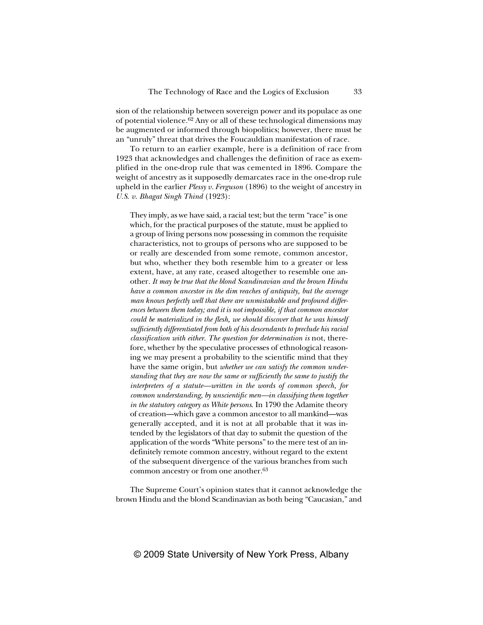sion of the relationship between sovereign power and its populace as one of potential violence.62 Any or all of these technological dimensions may be augmented or informed through biopolitics; however, there must be an "unruly" threat that drives the Foucauldian manifestation of race.

To return to an earlier example, here is a definition of race from 1923 that acknowledges and challenges the definition of race as exemplified in the one-drop rule that was cemented in 1896. Compare the weight of ancestry as it supposedly demarcates race in the one-drop rule upheld in the earlier *Plessy v. Ferguson* (1896) to the weight of ancestry in *U.S. v. Bhagat Singh Thind* (1923):

They imply, as we have said, a racial test; but the term "race" is one which, for the practical purposes of the statute, must be applied to a group of living persons now possessing in common the requisite characteristics, not to groups of persons who are supposed to be or really are descended from some remote, common ancestor, but who, whether they both resemble him to a greater or less extent, have, at any rate, ceased altogether to resemble one another. *It may be true that the blond Scandinavian and the brown Hindu have a common ancestor in the dim reaches of antiquity, but the average man knows perfectly well that there are unmistakable and profound differences between them today; and it is not impossible, if that common ancestor could be materialized in the flesh, we should discover that he was himself sufficiently differentiated from both of his descendants to preclude his racial classification with either. The question for determination is* not, therefore, whether by the speculative processes of ethnological reasoning we may present a probability to the scientific mind that they have the same origin, but *whether we can satisfy the common understanding that they are now the same or sufficiently the same to justify the interpreters of a statute—written in the words of common speech, for common understanding, by unscientific men—in classifying them together in the statutory category as White persons*. In 1790 the Adamite theory of creation—which gave a common ancestor to all mankind—was generally accepted, and it is not at all probable that it was intended by the legislators of that day to submit the question of the application of the words "White persons" to the mere test of an indefinitely remote common ancestry, without regard to the extent of the subsequent divergence of the various branches from such common ancestry or from one another.63

The Supreme Court's opinion states that it cannot acknowledge the brown Hindu and the blond Scandinavian as both being "Caucasian," and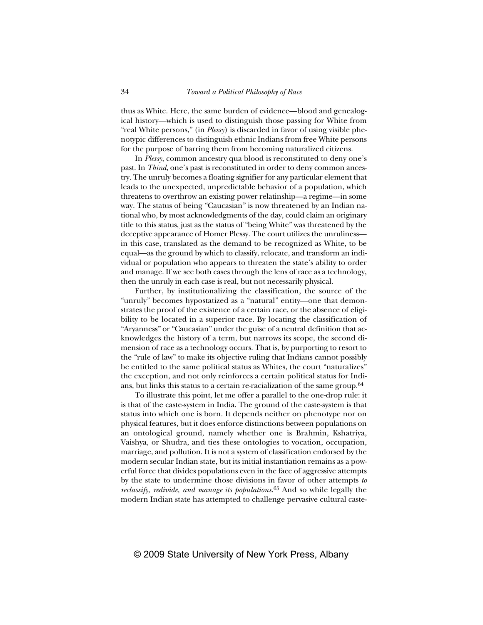thus as White. Here, the same burden of evidence—blood and genealogical history—which is used to distinguish those passing for White from "real White persons," (in *Plessy*) is discarded in favor of using visible phenotypic differences to distinguish ethnic Indians from free White persons for the purpose of barring them from becoming naturalized citizens.

In *Plessy*, common ancestry qua blood is reconstituted to deny one's past. In *Thind*, one's past is reconstituted in order to deny common ancestry. The unruly becomes a floating signifier for any particular element that leads to the unexpected, unpredictable behavior of a population, which threatens to overthrow an existing power relatinship—a regime—in some way. The status of being "Caucasian" is now threatened by an Indian national who, by most acknowledgments of the day, could claim an originary title to this status, just as the status of "being White" was threatened by the deceptive appearance of Homer Plessy. The court utilizes the unruliness in this case, translated as the demand to be recognized as White, to be equal—as the ground by which to classify, relocate, and transform an individual or population who appears to threaten the state's ability to order and manage. If we see both cases through the lens of race as a technology, then the unruly in each case is real, but not necessarily physical.

Further, by institutionalizing the classification, the source of the "unruly" becomes hypostatized as a "natural" entity—one that demonstrates the proof of the existence of a certain race, or the absence of eligibility to be located in a superior race. By locating the classification of "Aryanness" or "Caucasian" under the guise of a neutral definition that acknowledges the history of a term, but narrows its scope, the second dimension of race as a technology occurs. That is, by purporting to resort to the "rule of law" to make its objective ruling that Indians cannot possibly be entitled to the same political status as Whites, the court "naturalizes" the exception, and not only reinforces a certain political status for Indians, but links this status to a certain re-racialization of the same group.64

To illustrate this point, let me offer a parallel to the one-drop rule: it is that of the caste-system in India. The ground of the caste-system is that status into which one is born. It depends neither on phenotype nor on physical features, but it does enforce distinctions between populations on an ontological ground, namely whether one is Brahmin, Kshatriya, Vaishya, or Shudra, and ties these ontologies to vocation, occupation, marriage, and pollution. It is not a system of classification endorsed by the modern secular Indian state, but its initial instantiation remains as a powerful force that divides populations even in the face of aggressive attempts by the state to undermine those divisions in favor of other attempts *to reclassify, redivide, and manage its populations*.65 And so while legally the modern Indian state has attempted to challenge pervasive cultural caste-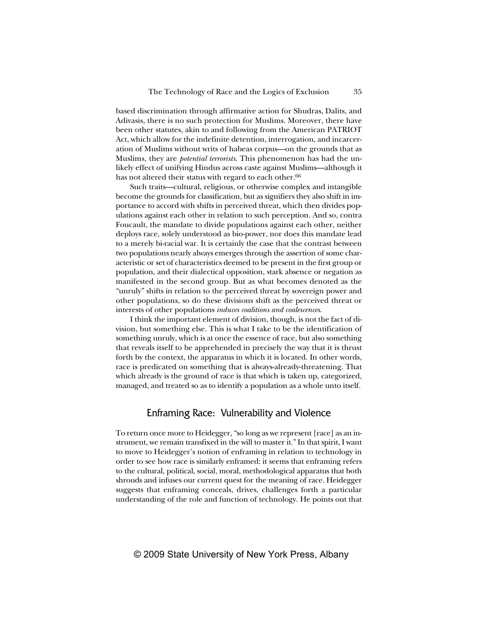based discrimination through affirmative action for Shudras, Dalits, and Adivasis, there is no such protection for Muslims. Moreover, there have been other statutes, akin to and following from the American PATRIOT Act, which allow for the indefinite detention, interrogation, and incarceration of Muslims without writs of habeas corpus—on the grounds that as Muslims, they are *potential terrorists*. This phenomenon has had the unlikely effect of unifying Hindus across caste against Muslims—although it has not altered their status with regard to each other.<sup>66</sup>

Such traits—cultural, religious, or otherwise complex and intangible become the grounds for classification, but as signifiers they also shift in importance to accord with shifts in perceived threat, which then divides populations against each other in relation to such perception. And so, contra Foucault, the mandate to divide populations against each other, neither deploys race, solely understood as bio-power, nor does this mandate lead to a merely bi-racial war. It is certainly the case that the contrast between two populations nearly always emerges through the assertion of some characteristic or set of characteristics deemed to be present in the first group or population, and their dialectical opposition, stark absence or negation as manifested in the second group. But as what becomes denoted as the "unruly" shifts in relation to the perceived threat by sovereign power and other populations, so do these divisions shift as the perceived threat or interests of other populations *induces coalitions and coalescences*.

I think the important element of division, though, is not the fact of division, but something else. This is what I take to be the identification of something unruly, which is at once the essence of race, but also something that reveals itself to be apprehended in precisely the way that it is thrust forth by the context, the apparatus in which it is located. In other words, race is predicated on something that is always-already-threatening. That which already is the ground of race is that which is taken up, categorized, managed, and treated so as to identify a population as a whole unto itself.

#### Enframing Race: Vulnerability and Violence

To return once more to Heidegger, "so long as we represent [race] as an instrument, we remain transfixed in the will to master it." In that spirit, I want to move to Heidegger's notion of enframing in relation to technology in order to see how race is similarly enframed: it seems that enframing refers to the cultural, political, social, moral, methodological apparatus that both shrouds and infuses our current quest for the meaning of race. Heidegger suggests that enframing conceals, drives, challenges forth a particular understanding of the role and function of technology. He points out that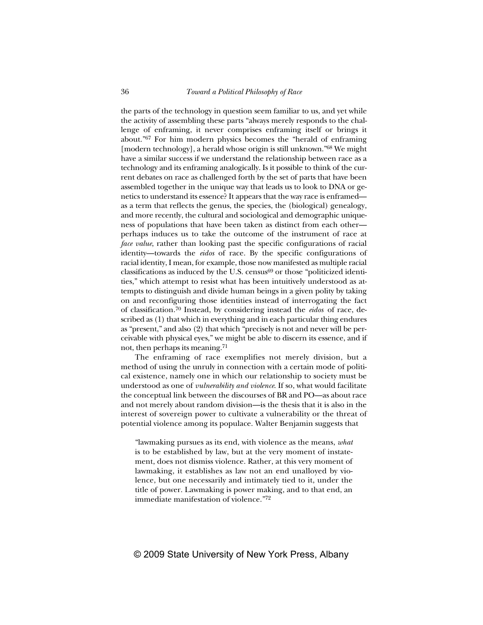the parts of the technology in question seem familiar to us, and yet while the activity of assembling these parts "always merely responds to the challenge of enframing, it never comprises enframing itself or brings it about."67 For him modern physics becomes the "herald of enframing [modern technology], a herald whose origin is still unknown."68 We might have a similar success if we understand the relationship between race as a technology and its enframing analogically. Is it possible to think of the current debates on race as challenged forth by the set of parts that have been assembled together in the unique way that leads us to look to DNA or genetics to understand its essence? It appears that the way race is enframed as a term that reflects the genus, the species, the (biological) genealogy, and more recently, the cultural and sociological and demographic uniqueness of populations that have been taken as distinct from each other perhaps induces us to take the outcome of the instrument of race at *face value*, rather than looking past the specific configurations of racial identity—towards the *eidos* of race. By the specific configurations of racial identity, I mean, for example, those now manifested as multiple racial classifications as induced by the U.S. census $69$  or those "politicized identities," which attempt to resist what has been intuitively understood as attempts to distinguish and divide human beings in a given polity by taking on and reconfiguring those identities instead of interrogating the fact of classification.70 Instead, by considering instead the *eidos* of race, described as (1) that which in everything and in each particular thing endures as "present," and also (2) that which "precisely is not and never will be perceivable with physical eyes," we might be able to discern its essence, and if not, then perhaps its meaning.71

The enframing of race exemplifies not merely division, but a method of using the unruly in connection with a certain mode of political existence, namely one in which our relationship to society must be understood as one of *vulnerability and violence*. If so, what would facilitate the conceptual link between the discourses of BR and PO—as about race and not merely about random division—is the thesis that it is also in the interest of sovereign power to cultivate a vulnerability or the threat of potential violence among its populace. Walter Benjamin suggests that

"lawmaking pursues as its end, with violence as the means, *what* is to be established by law, but at the very moment of instatement, does not dismiss violence. Rather, at this very moment of lawmaking, it establishes as law not an end unalloyed by violence, but one necessarily and intimately tied to it, under the title of power. Lawmaking is power making, and to that end, an immediate manifestation of violence."72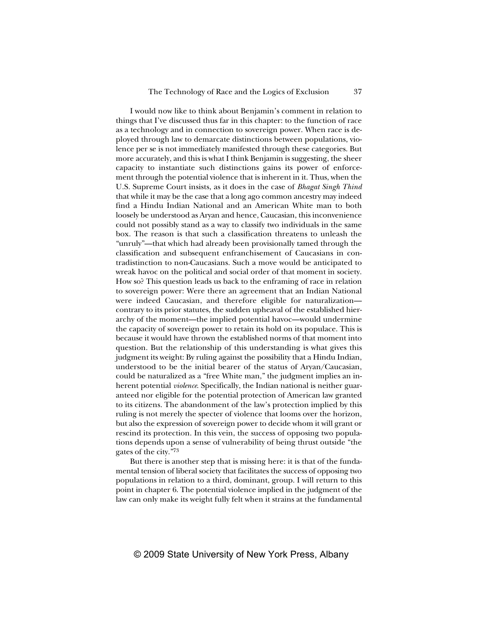I would now like to think about Benjamin's comment in relation to things that I've discussed thus far in this chapter: to the function of race as a technology and in connection to sovereign power. When race is deployed through law to demarcate distinctions between populations, violence per se is not immediately manifested through these categories. But more accurately, and this is what I think Benjamin is suggesting, the sheer capacity to instantiate such distinctions gains its power of enforcement through the potential violence that is inherent in it. Thus, when the U.S. Supreme Court insists, as it does in the case of *Bhagat Singh Thind* that while it may be the case that a long ago common ancestry may indeed find a Hindu Indian National and an American White man to both loosely be understood as Aryan and hence, Caucasian, this inconvenience could not possibly stand as a way to classify two individuals in the same box. The reason is that such a classification threatens to unleash the "unruly"—that which had already been provisionally tamed through the classification and subsequent enfranchisement of Caucasians in contradistinction to non-Caucasians. Such a move would be anticipated to wreak havoc on the political and social order of that moment in society. How so? This question leads us back to the enframing of race in relation to sovereign power: Were there an agreement that an Indian National were indeed Caucasian, and therefore eligible for naturalization contrary to its prior statutes, the sudden upheaval of the established hierarchy of the moment—the implied potential havoc—would undermine the capacity of sovereign power to retain its hold on its populace. This is because it would have thrown the established norms of that moment into question. But the relationship of this understanding is what gives this judgment its weight: By ruling against the possibility that a Hindu Indian, understood to be the initial bearer of the status of Aryan/Caucasian, could be naturalized as a "free White man," the judgment implies an inherent potential *violence*. Specifically, the Indian national is neither guaranteed nor eligible for the potential protection of American law granted to its citizens. The abandonment of the law's protection implied by this ruling is not merely the specter of violence that looms over the horizon, but also the expression of sovereign power to decide whom it will grant or rescind its protection. In this vein, the success of opposing two populations depends upon a sense of vulnerability of being thrust outside "the gates of the city."73

But there is another step that is missing here: it is that of the fundamental tension of liberal society that facilitates the success of opposing two populations in relation to a third, dominant, group. I will return to this point in chapter 6. The potential violence implied in the judgment of the law can only make its weight fully felt when it strains at the fundamental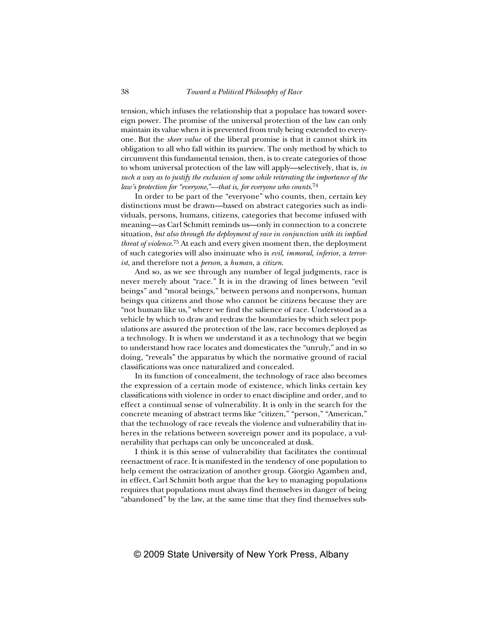tension, which infuses the relationship that a populace has toward sovereign power. The promise of the universal protection of the law can only maintain its value when it is prevented from truly being extended to everyone. But the *sheer value* of the liberal promise is that it cannot shirk its obligation to all who fall within its purview. The only method by which to circumvent this fundamental tension, then, is to create categories of those to whom universal protection of the law will apply—selectively, that is, *in such a way as to justify the exclusion of some while reiterating the importance of the law's protection for "everyone,"—that is, for everyone who counts*. 74

In order to be part of the "everyone" who counts, then, certain key distinctions must be drawn—based on abstract categories such as individuals, persons, humans, citizens, categories that become infused with meaning—as Carl Schmitt reminds us—only in connection to a concrete situation, *but also through the deployment of race in conjunction with its implied threat of violence*.75 At each and every given moment then, the deployment of such categories will also insinuate who is *evil*, *immoral*, *inferior*, a *terrorist*, and therefore not a *person*, a *human*, a *citizen*.

And so, as we see through any number of legal judgments, race is never merely about "race." It is in the drawing of lines between "evil beings" and "moral beings," between persons and nonpersons, human beings qua citizens and those who cannot be citizens because they are "not human like us," where we find the salience of race. Understood as a vehicle by which to draw and redraw the boundaries by which select populations are assured the protection of the law, race becomes deployed as a technology. It is when we understand it as a technology that we begin to understand how race locates and domesticates the "unruly," and in so doing, "reveals" the apparatus by which the normative ground of racial classifications was once naturalized and concealed.

In its function of concealment, the technology of race also becomes the expression of a certain mode of existence, which links certain key classifications with violence in order to enact discipline and order, and to effect a continual sense of vulnerability. It is only in the search for the concrete meaning of abstract terms like "citizen," "person," "American," that the technology of race reveals the violence and vulnerability that inheres in the relations between sovereign power and its populace, a vulnerability that perhaps can only be unconcealed at dusk.

I think it is this sense of vulnerability that facilitates the continual reenactment of race. It is manifested in the tendency of one population to help cement the ostracization of another group. Giorgio Agamben and, in effect, Carl Schmitt both argue that the key to managing populations requires that populations must always find themselves in danger of being "abandoned" by the law, at the same time that they find themselves sub